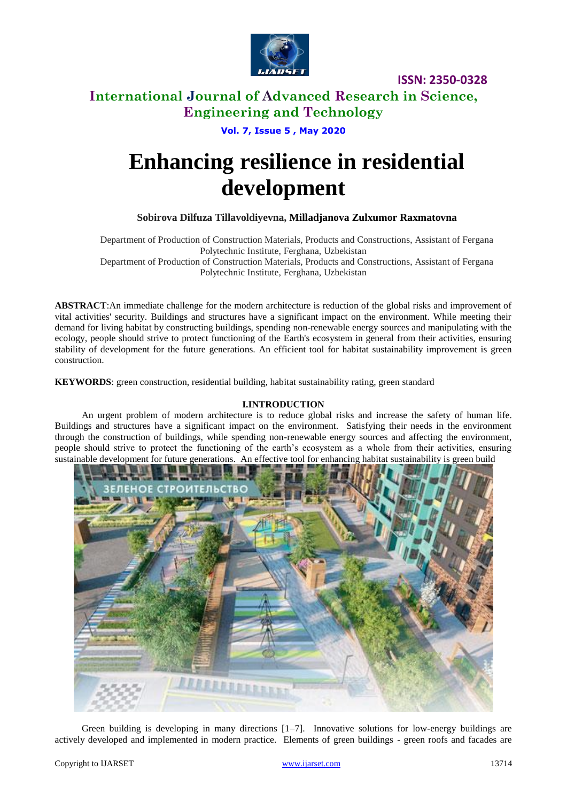

# **International Journal of Advanced Research in Science, Engineering and Technology**

**Vol. 7, Issue 5 , May 2020**

# **Enhancing resilience in residential development**

#### **Sobirova Dilfuza Tillavoldiyevna, Milladjanova Zulxumor Raxmatovna**

Department of Production of Construction Materials, Products and Constructions, Assistant of Fergana Polytechnic Institute, Ferghana, Uzbekistan Department of Production of Construction Materials, Products and Constructions, Assistant of Fergana Polytechnic Institute, Ferghana, Uzbekistan

**ABSTRACT**:An immediate challenge for the modern architecture is reduction of the global risks and improvement of vital activities' security. Buildings and structures have a significant impact on the environment. While meeting their demand for living habitat by constructing buildings, spending non-renewable energy sources and manipulating with the ecology, people should strive to protect functioning of the Earth's ecosystem in general from their activities, ensuring stability of development for the future generations. An efficient tool for habitat sustainability improvement is green construction.

**KEYWORDS**: green construction, residential building, habitat sustainability rating, green standard

#### **I.INTRODUCTION**

An urgent problem of modern architecture is to reduce global risks and increase the safety of human life. Buildings and structures have a significant impact on the environment. Satisfying their needs in the environment through the construction of buildings, while spending non-renewable energy sources and affecting the environment, people should strive to protect the functioning of the earth's ecosystem as a whole from their activities, ensuring sustainable development for future generations. An effective tool for enhancing habitat sustainability is green build



Green building is developing in many directions  $[1-7]$ . Innovative solutions for low-energy buildings are actively developed and implemented in modern practice. Elements of green buildings - green roofs and facades are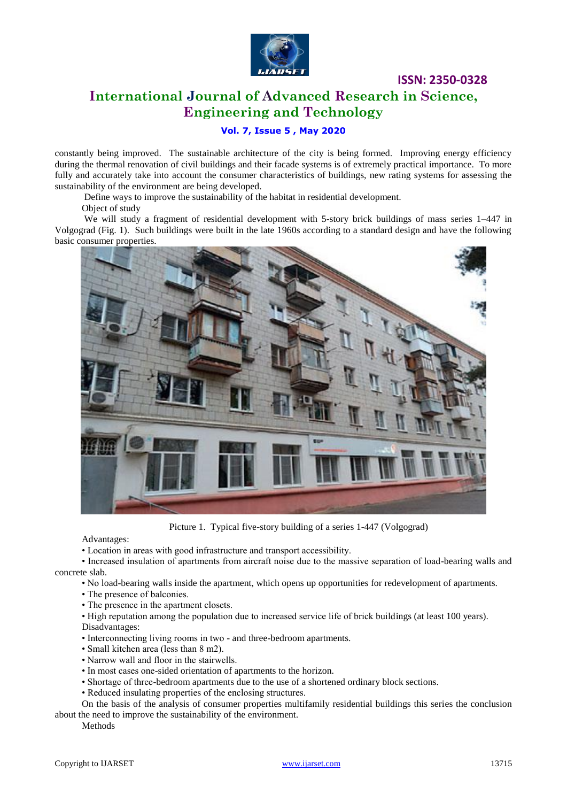

# **International Journal of Advanced Research in Science, Engineering and Technology**

#### **Vol. 7, Issue 5 , May 2020**

constantly being improved. The sustainable architecture of the city is being formed. Improving energy efficiency during the thermal renovation of civil buildings and their facade systems is of extremely practical importance. To more fully and accurately take into account the consumer characteristics of buildings, new rating systems for assessing the sustainability of the environment are being developed.

Define ways to improve the sustainability of the habitat in residential development.

Object of study

We will study a fragment of residential development with 5-story brick buildings of mass series 1–447 in Volgograd (Fig. 1). Such buildings were built in the late 1960s according to a standard design and have the following basic consumer properties.



Picture 1. Typical five-story building of a series 1-447 (Volgograd)

Advantages:

• Location in areas with good infrastructure and transport accessibility.

• Increased insulation of apartments from aircraft noise due to the massive separation of load-bearing walls and concrete slab.

• No load-bearing walls inside the apartment, which opens up opportunities for redevelopment of apartments.

• The presence of balconies.

• The presence in the apartment closets.

• High reputation among the population due to increased service life of brick buildings (at least 100 years). Disadvantages:

- Interconnecting living rooms in two and three-bedroom apartments.
- Small kitchen area (less than 8 m2).
- Narrow wall and floor in the stairwells.
- In most cases one-sided orientation of apartments to the horizon.
- Shortage of three-bedroom apartments due to the use of a shortened ordinary block sections.
- Reduced insulating properties of the enclosing structures.

On the basis of the analysis of consumer properties multifamily residential buildings this series the conclusion about the need to improve the sustainability of the environment.

Methods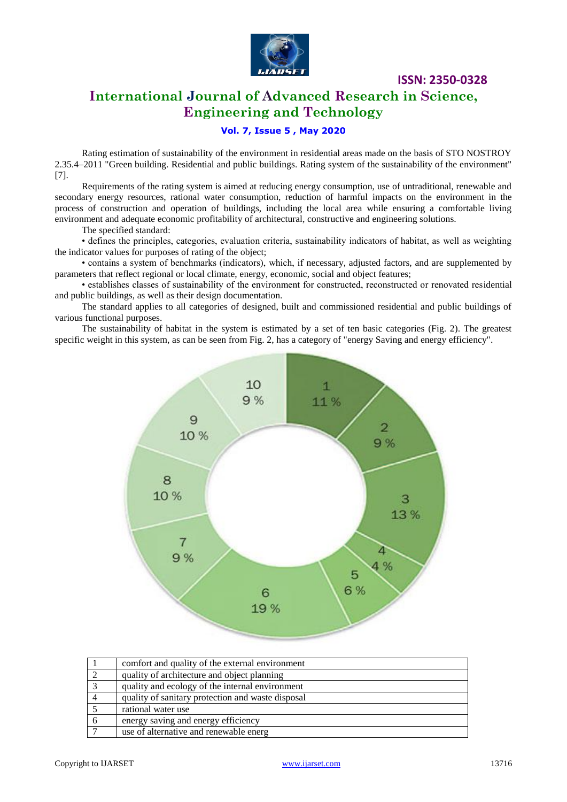

# **International Journal of Advanced Research in Science, Engineering and Technology**

#### **Vol. 7, Issue 5 , May 2020**

Rating estimation of sustainability of the environment in residential areas made on the basis of STO NOSTROY 2.35.4–2011 "Green building. Residential and public buildings. Rating system of the sustainability of the environment" [7].

Requirements of the rating system is aimed at reducing energy consumption, use of untraditional, renewable and secondary energy resources, rational water consumption, reduction of harmful impacts on the environment in the process of construction and operation of buildings, including the local area while ensuring a comfortable living environment and adequate economic profitability of architectural, constructive and engineering solutions.

The specified standard:

• defines the principles, categories, evaluation criteria, sustainability indicators of habitat, as well as weighting the indicator values for purposes of rating of the object;

• contains a system of benchmarks (indicators), which, if necessary, adjusted factors, and are supplemented by parameters that reflect regional or local climate, energy, economic, social and object features;

• establishes classes of sustainability of the environment for constructed, reconstructed or renovated residential and public buildings, as well as their design documentation.

The standard applies to all categories of designed, built and commissioned residential and public buildings of various functional purposes.

The sustainability of habitat in the system is estimated by a set of ten basic categories (Fig. 2). The greatest specific weight in this system, as can be seen from Fig. 2, has a category of "energy Saving and energy efficiency".



|          | comfort and quality of the external environment   |
|----------|---------------------------------------------------|
|          | quality of architecture and object planning       |
|          | quality and ecology of the internal environment   |
|          | quality of sanitary protection and waste disposal |
|          | rational water use                                |
| $\sigma$ | energy saving and energy efficiency               |
|          | use of alternative and renewable energ            |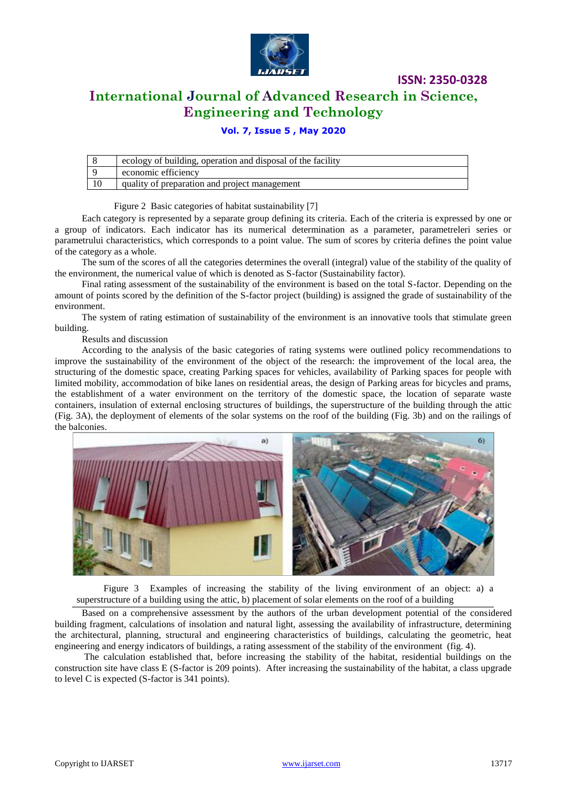

# **International Journal of Advanced Research in Science, Engineering and Technology**

**ISSN: 2350-0328**

#### **Vol. 7, Issue 5 , May 2020**

| ecology of building, operation and disposal of the facility |
|-------------------------------------------------------------|
| economic efficiency                                         |
| quality of preparation and project management               |

Figure 2 Basic categories of habitat sustainability [7]

Each category is represented by a separate group defining its criteria. Each of the criteria is expressed by one or a group of indicators. Each indicator has its numerical determination as a parameter, parametreleri series or parametrului characteristics, which corresponds to a point value. The sum of scores by criteria defines the point value of the category as a whole.

The sum of the scores of all the categories determines the overall (integral) value of the stability of the quality of the environment, the numerical value of which is denoted as S-factor (Sustainability factor).

Final rating assessment of the sustainability of the environment is based on the total S-factor. Depending on the amount of points scored by the definition of the S-factor project (building) is assigned the grade of sustainability of the environment.

The system of rating estimation of sustainability of the environment is an innovative tools that stimulate green building.

Results and discussion

According to the analysis of the basic categories of rating systems were outlined policy recommendations to improve the sustainability of the environment of the object of the research: the improvement of the local area, the structuring of the domestic space, creating Parking spaces for vehicles, availability of Parking spaces for people with limited mobility, accommodation of bike lanes on residential areas, the design of Parking areas for bicycles and prams, the establishment of a water environment on the territory of the domestic space, the location of separate waste containers, insulation of external enclosing structures of buildings, the superstructure of the building through the attic (Fig. 3A), the deployment of elements of the solar systems on the roof of the building (Fig. 3b) and on the railings of the balconies.



Figure 3 Examples of increasing the stability of the living environment of an object: a) a superstructure of a building using the attic, b) placement of solar elements on the roof of a building

Based on a comprehensive assessment by the authors of the urban development potential of the considered building fragment, calculations of insolation and natural light, assessing the availability of infrastructure, determining the architectural, planning, structural and engineering characteristics of buildings, calculating the geometric, heat engineering and energy indicators of buildings, a rating assessment of the stability of the environment (fig. 4).

The calculation established that, before increasing the stability of the habitat, residential buildings on the construction site have class E (S-factor is 209 points). After increasing the sustainability of the habitat, a class upgrade to level C is expected (S-factor is 341 points).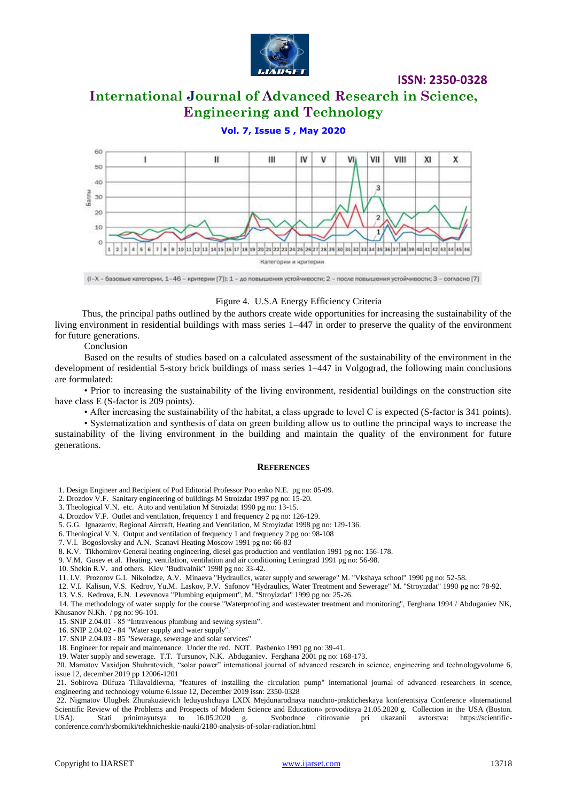

# **International Journal of Advanced Research in Science, Engineering and Technology**

#### **Vol. 7, Issue 5 , May 2020**



(1-Х - базовые категории, 1-46 - критерии [7]): 1 - до повышения устойчивости; 2 - после повышения устойчивости; 3 - согласно [7]

#### Figure 4. U.S.A Energy Efficiency Criteria

Thus, the principal paths outlined by the authors create wide opportunities for increasing the sustainability of the living environment in residential buildings with mass series 1–447 in order to preserve the quality of the environment for future generations.

Conclusion

Based on the results of studies based on a calculated assessment of the sustainability of the environment in the development of residential 5-story brick buildings of mass series 1–447 in Volgograd, the following main conclusions are formulated:

• Prior to increasing the sustainability of the living environment, residential buildings on the construction site have class E (S-factor is 209 points).

• After increasing the sustainability of the habitat, a class upgrade to level C is expected (S-factor is 341 points).

• Systematization and synthesis of data on green building allow us to outline the principal ways to increase the sustainability of the living environment in the building and maintain the quality of the environment for future generations.

#### **REFERENCES**

1. Design Engineer and Recipient of Pod Editorial Professor Poo enko N.E. pg no: 05-09.

2. Drozdov V.F. Sanitary engineering of buildings M Stroizdat 1997 pg no: 15-20.

3. Theological V.N. etc. Auto and ventilation M Stroizdat 1990 pg no: 13-15.

4. Drozdov V.F. Outlet and ventilation, frequency 1 and frequency 2 pg no: 126-129.

5. G.G. Ignazarov, Regional Aircraft, Heating and Ventilation, M Stroyizdat 1998 pg no: 129-136.

6. Theological V.N. Output and ventilation of frequency 1 and frequency 2 pg no: 98-108

7. V.I. Bogoslovsky and A.N. Scanavi Heating Moscow 1991 pg no: 66-83

8. K.V. Tikhomirov General heating engineering, diesel gas production and ventilation 1991 pg no: 156-178.

9. V.M. Gusev et al. Heating, ventilation, ventilation and air conditioning Leningrad 1991 pg no: 56-98.

10. Shekin R.V. and others. Kiev "Budivalnik" 1998 pg no: 33-42.

11. I.V. Prozorov G.I. Nikolodze, A.V. Minaeva "Hydraulics, water supply and sewerage" M. "Vkshaya school" 1990 pg no: 52-58.

12. V.I. Kalisun, V.S. Kedrov, Yu.M. Laskov, P.V. Safonov "Hydraulics, Water Treatment and Sewerage" M. "Stroyizdat" 1990 pg no: 78-92.

13. V.S. Kedrova, E.N. Levevnova "Plumbing equipment", M. "Stroyizdat" 1999 pg no: 25-26.

14. The methodology of water supply for the course "Waterproofing and wastewater treatment and monitoring", Ferghana 1994 / Abduganiev NK, Khusanov N.Kh. / pg no: 96-101.

15. SNIP 2.04.01 - 85 "Intravenous plumbing and sewing system".

16. SNIP 2.04.02 - 84 "Water supply and water supply".

17. SNIP 2.04.03 - 85 "Sewerage, sewerage and solar services"

18. Engineer for repair and maintenance. Under the red. NOT. Pashenko 1991 pg no: 39-41.

19. Water supply and sewerage. T.T. Tursunov, N.K. Abduganiev. Ferghana 2001 pg no: 168-173.

20. Mamatov Vaxidjon Shuhratovich, "solar power" international journal of advanced research in science, engineering and technologyvolume 6, issue 12, december 2019 pp 12006-1201

21. Sobirova Dilfuza Tillavaldievna, "features of installing the circulation pump" international journal of advanced researchers in scence, engineering and technology volume 6.issue 12, December 2019 issn: 2350-0328

22. Nigmatov Ulugbek Zhurakuzievich leduyushchaya LXIX Mejdunarodnaya nauchno-prakticheskaya konferentsiya Conference «International Scientific Review of the Problems and Prospects of Modern Science and Education» provoditsya 21.05.2020 g. Collection in the USA (Boston. USA). Stati prinimayutsya to 16.05.2020 g. Svobodnoe citirovanie pri ukazanii avtorstva: https://scientificconference.com/h/sborniki/tekhnicheskie-nauki/2180-analysis-of-solar-radiation.html